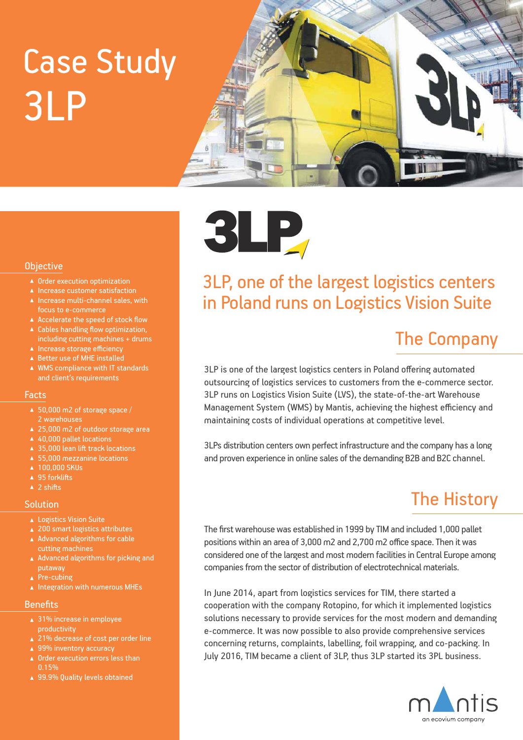# 3LP Case Study





#### 3LP, one of the largest logistics centers in Poland runs on Logistics Vision Suite

### The Company

3LP is one of the largest logistics centers in Poland offering automated outsourcing of logistics services to customers from the e-commerce sector. 3LP runs on Logistics Vision Suite (LVS), the state-of-the-art Warehouse Management System (WMS) by Mantis, achieving the highest efficiency and maintaining costs of individual operations at competitive level.

3LPs distribution centers own perfect infrastructure and the company has a long and proven experience in online sales of the demanding B2B and B2C channel.

### The History

The first warehouse was established in 1999 by TIM and included 1,000 pallet positions within an area of 3,000 m2 and 2,700 m2 office space. Then it was considered one of the largest and most modern facilities in Central Europe among companies from the sector of distribution of electrotechnical materials.

In June 2014, apart from logistics services for TIM, there started a cooperation with the company Rotopino, for which it implemented logistics solutions necessary to provide services for the most modern and demanding e-commerce. It was now possible to also provide comprehensive services concerning returns, complaints, labelling, foil wrapping, and co-packing. In July 2016, TIM became a client of 3LP, thus 3LP started its 3PL business.



#### **Objective**

- ▲ Order execution optimization
- ▲ Increase customer satisfaction  $\blacktriangle$  Increase multi-channel sales, with
- focus to e-commerce
- A Accelerate the speed of stock flow
- ▲ Cables handling flow optimization, including cutting machines + drums
- ▲ Increase storage efficiency
- ▲ Better use of MHE installed
- WMS compliance with IT standards and client's requirements

#### Facts

- ▲ 50,000 m2 of storage space / 2 warehouses
- ▲ 25,000 m2 of outdoor storage area
- ▲ 40,000 pallet locations
- ▲ 35,000 lean lift track locations
- ▲ 55,000 mezzanine locations
- $\overline{100,000}$  SKUs
- $\triangle$  95 forklifts
- $\triangle$  2 shifts

#### **Solution**

- ▲ Logistics Vision Suite
- ▲ 200 smart logistics attributes
- A Advanced algorithms for cable cutting machines
- A Advanced algorithms for picking and putaway
- ▲ Pre-cubing
- $\blacktriangle$  Integration with numerous MHEs

#### **Benefits**

- ▲ 31% increase in employee productivity
- ▲ 21% decrease of cost per order line
- ▲ 99% inventory accuracy
- ▲ Order execution errors less than 0.15%
- ▲ 99.9% Quality levels obtained

**3LP**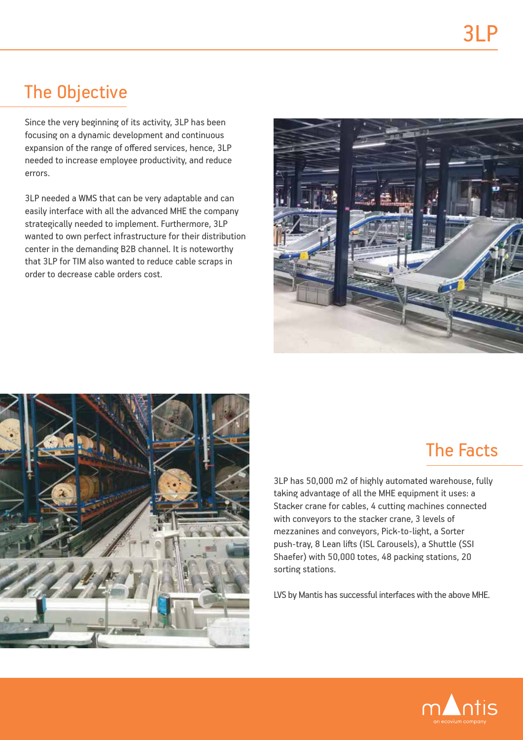### The Objective

Since the very beginning of its activity, 3LP has been focusing on a dynamic development and continuous expansion of the range of offered services, hence, 3LP needed to increase employee productivity, and reduce errors.

3LP needed a WMS that can be very adaptable and can easily interface with all the advanced MHE the company strategically needed to implement. Furthermore, 3LP wanted to own perfect infrastructure for their distribution center in the demanding B2B channel. It is noteworthy that 3LP for TIM also wanted to reduce cable scraps in order to decrease cable orders cost.





### The Facts

3LP has 50,000 m2 of highly automated warehouse, fully taking advantage of all the MHE equipment it uses: a Stacker crane for cables, 4 cutting machines connected with conveyors to the stacker crane, 3 levels of mezzanines and conveyors, Pick-to-light, a Sorter push-tray, 8 Lean lifts (ISL Carousels), a Shuttle (SSI Shaefer) with 50,000 totes, 48 packing stations, 20 sorting stations.

LVS by Mantis has successful interfaces with the above MHE.

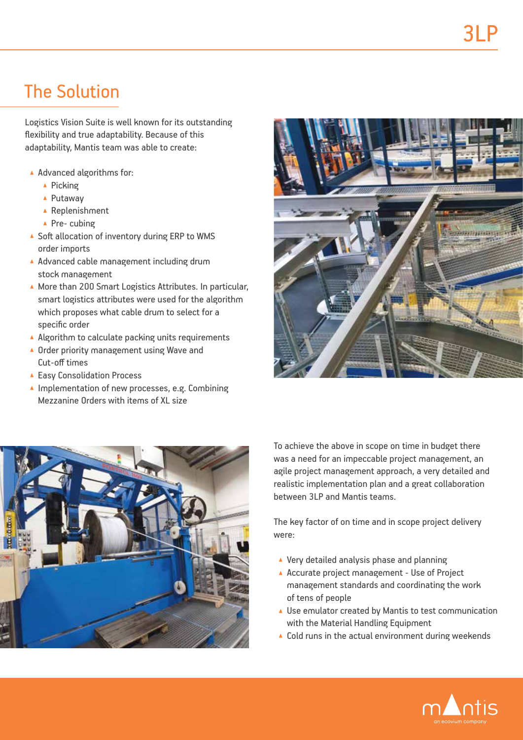# The Solution

Logistics Vision Suite is well known for its outstanding flexibility and true adaptability. Because of this adaptability, Mantis team was able to create:

- Advanced algorithms for:
	- ▲ Picking
	- ▲ Putaway
	- ▲ Replenishment
	- ▲ Pre- cubing
- ▲ Soft allocation of inventory during ERP to WMS order imports
- A Advanced cable management including drum stock management
- ▲ More than 200 Smart Logistics Attributes. In particular, smart logistics attributes were used for the algorithm which proposes what cable drum to select for a specific order
- A Algorithm to calculate packing units requirements
- ▲ Order priority management using Wave and Cut-off times
- ▲ Easy Consolidation Process
- ▲ Implementation of new processes, e.g. Combining Mezzanine Orders with items of XL size





Το achieve the above in scope on time in budget there was a need for an impeccable project management, an agile project management approach, a very detailed and realistic implementation plan and a great collaboration between 3LP and Mantis teams.

The key factor of on time and in scope project delivery were:

- ▲ Very detailed analysis phase and planning
- ▲ Accurate project management Use of Project management standards and coordinating the work of tens of people
- ▲ Use emulator created by Mantis to test communication with the Material Handling Equipment
- ▲ Cold runs in the actual environment during weekends

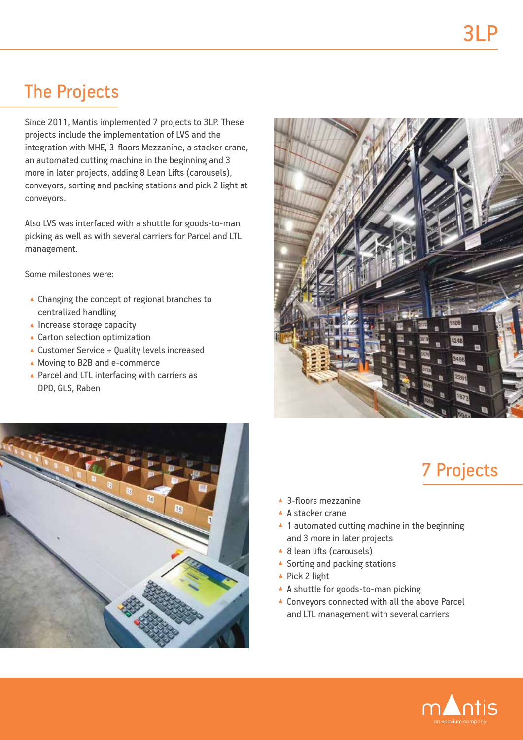### The Projects

Since 2011, Mantis implemented 7 projects to 3LP. These projects include the implementation of LVS and the integration with MHE, 3-floors Mezzanine, a stacker crane, an automated cutting machine in the beginning and 3 more in later projects, adding 8 Lean Lifts (carousels), conveyors, sorting and packing stations and pick 2 light at conveyors.

Also LVS was interfaced with a shuttle for goods-to-man picking as well as with several carriers for Parcel and LTL management.

Some milestones were:

- ▲ Changing the concept of regional branches to centralized handling
- $\blacktriangle$  Increase storage capacity
- ▲ Carton selection optimization
- ▲ Customer Service + Quality levels increased
- ▲ Moving to B2B and e-commerce
- ▲ Parcel and LTL interfacing with carriers as DPD, GLS, Raben





# 7 Projects

- ▲ 3-floors mezzanine
- ▲ A stacker crane
- ▲ 1 automated cutting machine in the beginning and 3 more in later projects
- ▲ 8 lean lifts (carousels)
- ▲ Sorting and packing stations
- ▲ Pick 2 light
- A A shuttle for goods-to-man picking
- ▲ Conveyors connected with all the above Parcel and LTL management with several carriers

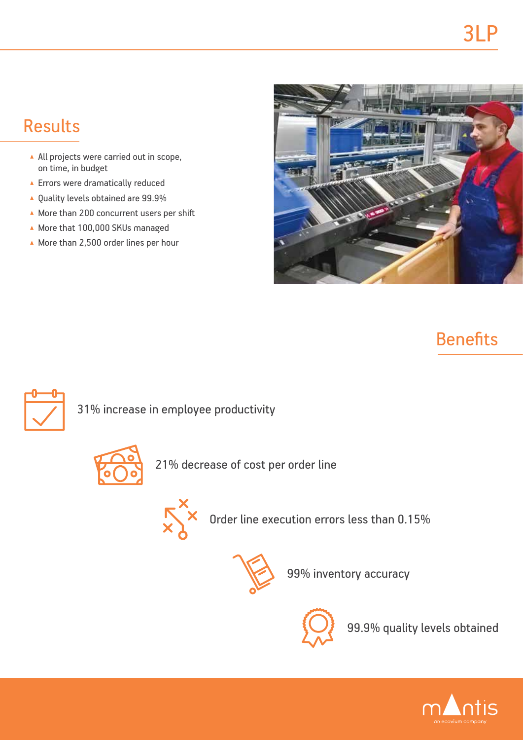# Results

- All projects were carried out in scope, on time, in budget
- ▲ Errors were dramatically reduced
- ▲ Quality levels obtained are 99.9%
- More than 200 concurrent users per shift
- More that 100,000 SKUs managed
- $\triangle$  More than 2,500 order lines per hour



# **Benefits**



31% increase in employee productivity



21% decrease of cost per order line



 $\sum_{x}^{x}$  Order line execution errors less than 0.15%



99% inventory accuracy



99.9% quality levels obtained

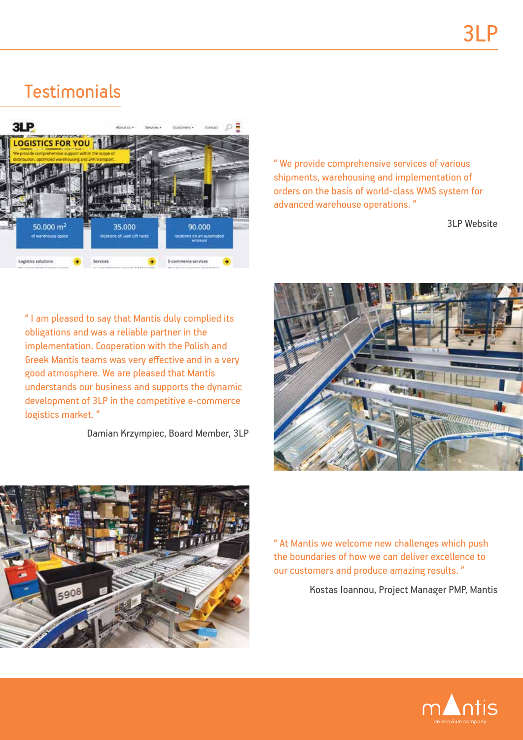### **Testimonials**



" We provide comprehensive services of various shipments, warehousing and implementation of orders on the basis of world-class WMS system for advanced warehouse operations. "

3LP Website

" I am pleased to say that Mantis duly complied its obligations and was a reliable partner in the implementation. Cooperation with the Polish and Greek Mantis teams was very effective and in a very good atmosphere. We are pleased that Mantis understands our business and supports the dynamic development of 3LP in the competitive e-commerce logistics market. "

Damian Krzympiec, Board Member, 3LP





" At Mantis we welcome new challenges which push the boundaries of how we can deliver excellence to our customers and produce amazing results. "

Kostas Ioannou, Project Manager PMP, Mantis

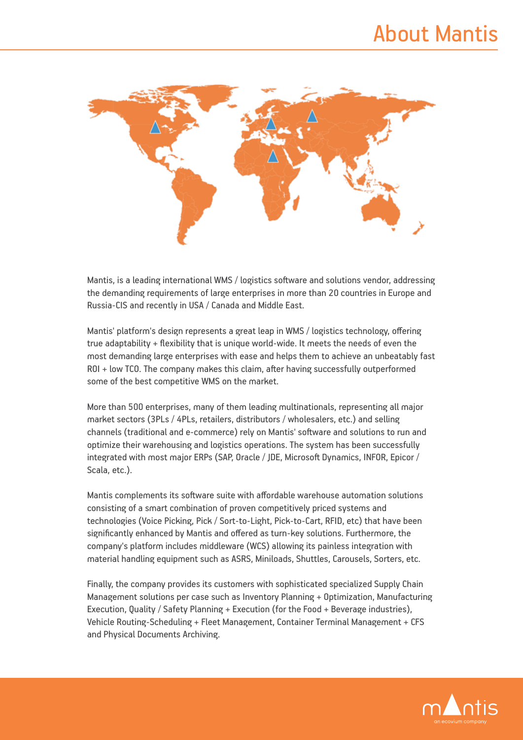

Mantis, is a leading international WMS / logistics software and solutions vendor, addressing the demanding requirements of large enterprises in more than 20 countries in Europe and Russia-CIS and recently in USA / Canada and Middle East.

Mantis' platform's design represents a great leap in WMS / logistics technology, offering true adaptability + flexibility that is unique world-wide. It meets the needs of even the most demanding large enterprises with ease and helps them to achieve an unbeatably fast ROI + low TCO. The company makes this claim, after having successfully outperformed some of the best competitive WMS on the market.

More than 500 enterprises, many of them leading multinationals, representing all major market sectors (3PLs / 4PLs, retailers, distributors / wholesalers, etc.) and selling channels (traditional and e-commerce) rely on Mantis' software and solutions to run and optimize their warehousing and logistics operations. The system has been successfully integrated with most major ERPs (SAP, Oracle / JDE, Microsoft Dynamics, INFOR, Epicor / Scala, etc.).

Mantis complements its software suite with affordable warehouse automation solutions consisting of a smart combination of proven competitively priced systems and technologies (Voice Picking, Pick / Sort-to-Light, Pick-to-Cart, RFID, etc) that have been significantly enhanced by Mantis and offered as turn-key solutions. Furthermore, the company's platform includes middleware (WCS) allowing its painless integration with material handling equipment such as ASRS, Miniloads, Shuttles, Carousels, Sorters, etc.

Finally, the company provides its customers with sophisticated specialized Supply Chain Management solutions per case such as Inventory Planning + Optimization, Manufacturing Execution, Quality / Safety Planning + Execution (for the Food + Beverage industries), Vehicle Routing-Scheduling + Fleet Management, Container Terminal Management + CFS and Physical Documents Archiving.